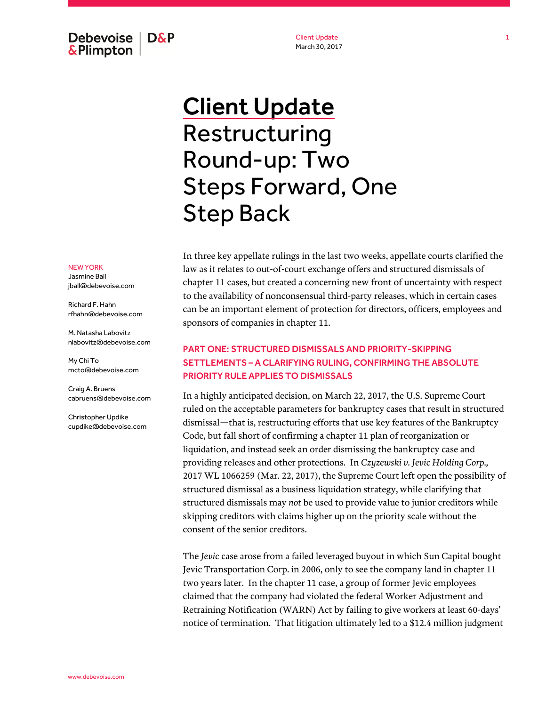Debevoise  $\overline{ }$  D&P **&Plimpton** 

Client Update March 30, 2017

# Client Update Restructuring Round-up: Two Steps Forward, One Step Back

In three key appellate rulings in the last two weeks, appellate courts clarified the law as it relates to out-of-court exchange offers and structured dismissals of chapter 11 cases, but created a concerning new front of uncertainty with respect to the availability of nonconsensual third-party releases, which in certain cases can be an important element of protection for directors, officers, employees and sponsors of companies in chapter 11.

## PART ONE: STRUCTURED DISMISSALS AND PRIORITY-SKIPPING SETTLEMENTS – A CLARIFYING RULING, CONFIRMING THE ABSOLUTE PRIORITY RULE APPLIES TO DISMISSALS

In a highly anticipated decision, on March 22, 2017, the U.S. Supreme Court ruled on the acceptable parameters for bankruptcy cases that result in structured dismissal—that is, restructuring efforts that use key features of the Bankruptcy Code, but fall short of confirming a chapter 11 plan of reorganization or liquidation, and instead seek an order dismissing the bankruptcy case and providing releases and other protections. In *Czyzewski v. Jevic Holding Corp.,*  2017 WL 1066259 (Mar. 22, 2017), the Supreme Court left open the possibility of structured dismissal as a business liquidation strategy, while clarifying that structured dismissals may *not* be used to provide value to junior creditors while skipping creditors with claims higher up on the priority scale without the consent of the senior creditors.

The *Jevic* case arose from a failed leveraged buyout in which Sun Capital bought Jevic Transportation Corp. in 2006, only to see the company land in chapter 11 two years later. In the chapter 11 case, a group of former Jevic employees claimed that the company had violated the federal Worker Adjustment and Retraining Notification (WARN) Act by failing to give workers at least 60-days' notice of termination. That litigation ultimately led to a \$12.4 million judgment

#### NEW YORK

Jasmine Ball jball@debevoise.com

Richard F. Hahn rfhahn@debevoise.com

M. Natasha Labovitz nlabovitz@debevoise.com

My Chi To mcto@debevoise.com

Craig A. Bruens cabruens@debevoise.com

Christopher Updike cupdike@debevoise.com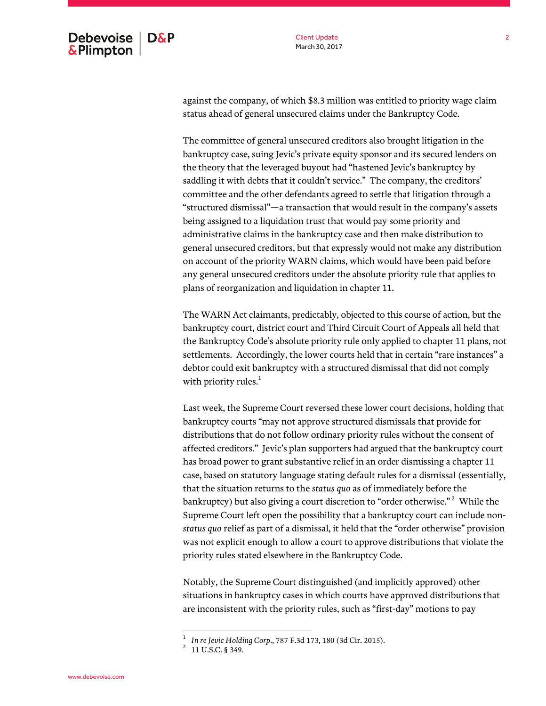Client Update March 30, 2017

against the company, of which \$8.3 million was entitled to priority wage claim status ahead of general unsecured claims under the Bankruptcy Code.

The committee of general unsecured creditors also brought litigation in the bankruptcy case, suing Jevic's private equity sponsor and its secured lenders on the theory that the leveraged buyout had "hastened Jevic's bankruptcy by saddling it with debts that it couldn't service." The company, the creditors' committee and the other defendants agreed to settle that litigation through a "structured dismissal"—a transaction that would result in the company's assets being assigned to a liquidation trust that would pay some priority and administrative claims in the bankruptcy case and then make distribution to general unsecured creditors, but that expressly would not make any distribution on account of the priority WARN claims, which would have been paid before any general unsecured creditors under the absolute priority rule that applies to plans of reorganization and liquidation in chapter 11.

The WARN Act claimants, predictably, objected to this course of action, but the bankruptcy court, district court and Third Circuit Court of Appeals all held that the Bankruptcy Code's absolute priority rule only applied to chapter 11 plans, not settlements. Accordingly, the lower courts held that in certain "rare instances" a debtor could exit bankruptcy with a structured dismissal that did not comply with priority rules. $1$ 

Last week, the Supreme Court reversed these lower court decisions, holding that bankruptcy courts "may not approve structured dismissals that provide for distributions that do not follow ordinary priority rules without the consent of affected creditors." Jevic's plan supporters had argued that the bankruptcy court has broad power to grant substantive relief in an order dismissing a chapter 11 case, based on statutory language stating default rules for a dismissal (essentially, that the situation returns to the *status quo* as of immediately before the bankruptcy) but also giving a court discretion to "order otherwise."  $^2\,$  While the Supreme Court left open the possibility that a bankruptcy court can include non*status quo* relief as part of a dismissal, it held that the "order otherwise" provision was not explicit enough to allow a court to approve distributions that violate the priority rules stated elsewhere in the Bankruptcy Code.

Notably, the Supreme Court distinguished (and implicitly approved) other situations in bankruptcy cases in which courts have approved distributions that are inconsistent with the priority rules, such as "first-day" motions to pay

 1 *In re Jevic Holding Corp*., 787 F.3d 173, 180 (3d Cir. 2015). 2 11 U.S.C. § 349.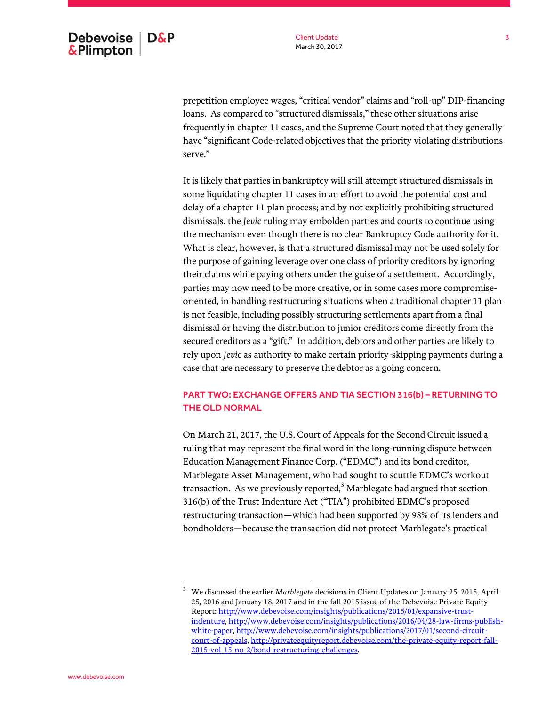prepetition employee wages, "critical vendor" claims and "roll-up" DIP-financing loans. As compared to "structured dismissals," these other situations arise frequently in chapter 11 cases, and the Supreme Court noted that they generally have "significant Code-related objectives that the priority violating distributions serve."

It is likely that parties in bankruptcy will still attempt structured dismissals in some liquidating chapter 11 cases in an effort to avoid the potential cost and delay of a chapter 11 plan process; and by not explicitly prohibiting structured dismissals, the *Jevic* ruling may embolden parties and courts to continue using the mechanism even though there is no clear Bankruptcy Code authority for it. What is clear, however, is that a structured dismissal may not be used solely for the purpose of gaining leverage over one class of priority creditors by ignoring their claims while paying others under the guise of a settlement. Accordingly, parties may now need to be more creative, or in some cases more compromiseoriented, in handling restructuring situations when a traditional chapter 11 plan is not feasible, including possibly structuring settlements apart from a final dismissal or having the distribution to junior creditors come directly from the secured creditors as a "gift." In addition, debtors and other parties are likely to rely upon *Jevic* as authority to make certain priority-skipping payments during a case that are necessary to preserve the debtor as a going concern.

### PART TWO: EXCHANGE OFFERS AND TIA SECTION 316(b) – RETURNING TO THE OLD NORMAL

On March 21, 2017, the U.S. Court of Appeals for the Second Circuit issued a ruling that may represent the final word in the long-running dispute between Education Management Finance Corp. ("EDMC") and its bond creditor, Marblegate Asset Management, who had sought to scuttle EDMC's workout transaction. As we previously reported, $3$  Marblegate had argued that section 316(b) of the Trust Indenture Act ("TIA") prohibited EDMC's proposed restructuring transaction—which had been supported by 98% of its lenders and bondholders—because the transaction did not protect Marblegate's practical

<sup>3</sup> We discussed the earlier *Marblegate* decisions in Client Updates on January 25, 2015, April 25, 2016 and January 18, 2017 and in the fall 2015 issue of the Debevoise Private Equity Report[: http://www.debevoise.com/insights/publications/2015/01/expansive-trust](http://www.debevoise.com/insights/publications/2015/01/expansive-trust-indenture)[indenture,](http://www.debevoise.com/insights/publications/2015/01/expansive-trust-indenture) [http://www.debevoise.com/insights/publications/2016/04/28-law-firms-publish](http://www.debevoise.com/insights/publications/2016/04/28-law-firms-publish-white-paper)[white-paper,](http://www.debevoise.com/insights/publications/2016/04/28-law-firms-publish-white-paper) [http://www.debevoise.com/insights/publications/2017/01/second-circuit](http://www.debevoise.com/insights/publications/2017/01/second-circuit-court-of-appeals)[court-of-appeals,](http://www.debevoise.com/insights/publications/2017/01/second-circuit-court-of-appeals) [http://privateequityreport.debevoise.com/the-private-equity-report-fall-](http://privateequityreport.debevoise.com/the-private-equity-report-fall-2015-vol-15-no-2/bond-restructuring-challenges)[2015-vol-15-no-2/bond-restructuring-challenges.](http://privateequityreport.debevoise.com/the-private-equity-report-fall-2015-vol-15-no-2/bond-restructuring-challenges)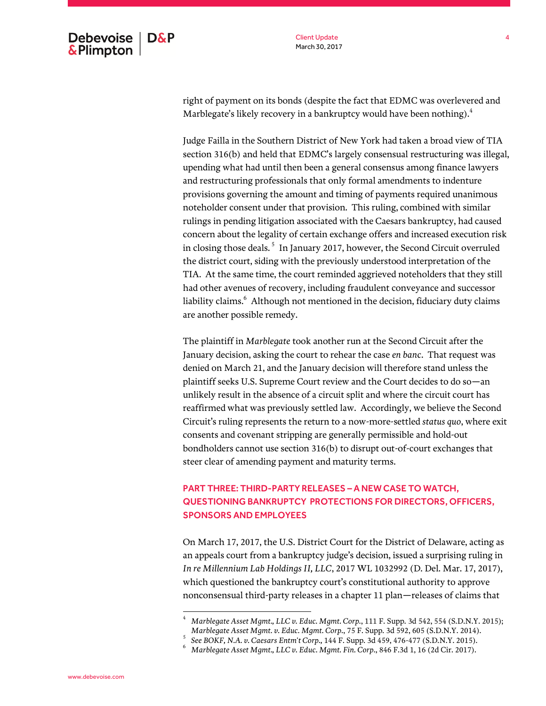Client Update March 30, 2017

right of payment on its bonds (despite the fact that EDMC was overlevered and Marblegate's likely recovery in a bankruptcy would have been nothing). $^4$ 

Judge Failla in the Southern District of New York had taken a broad view of TIA section 316(b) and held that EDMC's largely consensual restructuring was illegal, upending what had until then been a general consensus among finance lawyers and restructuring professionals that only formal amendments to indenture provisions governing the amount and timing of payments required unanimous noteholder consent under that provision. This ruling, combined with similar rulings in pending litigation associated with the Caesars bankruptcy, had caused concern about the legality of certain exchange offers and increased execution risk in closing those deals. <sup>5</sup> In January 2017, however, the Second Circuit overruled the district court, siding with the previously understood interpretation of the TIA. At the same time, the court reminded aggrieved noteholders that they still had other avenues of recovery, including fraudulent conveyance and successor liability claims. 6 Although not mentioned in the decision, fiduciary duty claims are another possible remedy.

The plaintiff in *Marblegate* took another run at the Second Circuit after the January decision, asking the court to rehear the case *en banc*. That request was denied on March 21, and the January decision will therefore stand unless the plaintiff seeks U.S. Supreme Court review and the Court decides to do so—an unlikely result in the absence of a circuit split and where the circuit court has reaffirmed what was previously settled law. Accordingly, we believe the Second Circuit's ruling represents the return to a now-more-settled *status quo*, where exit consents and covenant stripping are generally permissible and hold-out bondholders cannot use section 316(b) to disrupt out-of-court exchanges that steer clear of amending payment and maturity terms.

## PART THREE: THIRD-PARTY RELEASES – A NEW CASE TO WATCH, QUESTIONING BANKRUPTCY PROTECTIONS FOR DIRECTORS, OFFICERS, SPONSORS AND EMPLOYEES

On March 17, 2017, the U.S. District Court for the District of Delaware, acting as an appeals court from a bankruptcy judge's decision, issued a surprising ruling in *In re Millennium Lab Holdings II, LLC*, 2017 WL 1032992 (D. Del. Mar. 17, 2017), which questioned the bankruptcy court's constitutional authority to approve nonconsensual third-party releases in a chapter 11 plan—releases of claims that

<sup>4</sup> *Marblegate Asset Mgmt., LLC v. Educ. Mgmt. Corp.*, 111 F. Supp. 3d 542, 554 (S.D.N.Y. 2015); *Marblegate Asset Mgmt. v. Educ. Mgmt. Corp.*, 75 F. Supp. 3d 592, 605 (S.D.N.Y. 2014).

<sup>5</sup> *See BOKF, N.A. v. Caesars Entm't Corp.,* 144 F. Supp. 3d 459, 476-477 (S.D.N.Y. 2015).

<sup>6</sup> *Marblegate Asset Mgmt., LLC v. Educ. Mgmt. Fin. Corp*., 846 F.3d 1, 16 (2d Cir. 2017).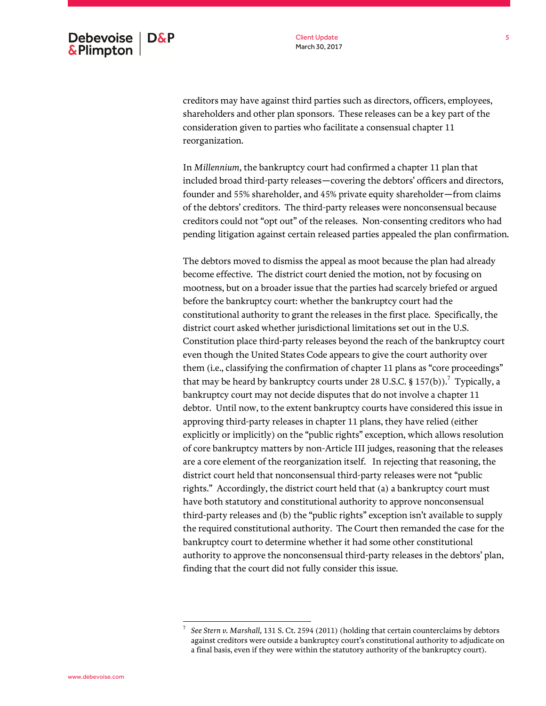creditors may have against third parties such as directors, officers, employees, shareholders and other plan sponsors. These releases can be a key part of the consideration given to parties who facilitate a consensual chapter 11 reorganization.

In *Millennium*, the bankruptcy court had confirmed a chapter 11 plan that included broad third-party releases—covering the debtors' officers and directors, founder and 55% shareholder, and 45% private equity shareholder—from claims of the debtors' creditors. The third-party releases were nonconsensual because creditors could not "opt out" of the releases. Non-consenting creditors who had pending litigation against certain released parties appealed the plan confirmation.

The debtors moved to dismiss the appeal as moot because the plan had already become effective. The district court denied the motion, not by focusing on mootness, but on a broader issue that the parties had scarcely briefed or argued before the bankruptcy court: whether the bankruptcy court had the constitutional authority to grant the releases in the first place. Specifically, the district court asked whether jurisdictional limitations set out in the U.S. Constitution place third-party releases beyond the reach of the bankruptcy court even though the United States Code appears to give the court authority over them (i.e., classifying the confirmation of chapter 11 plans as "core proceedings" that may be heard by bankruptcy courts under 28 U.S.C. § 157(b)).<sup>7</sup> Typically, a bankruptcy court may not decide disputes that do not involve a chapter 11 debtor. Until now, to the extent bankruptcy courts have considered this issue in approving third-party releases in chapter 11 plans, they have relied (either explicitly or implicitly) on the "public rights" exception, which allows resolution of core bankruptcy matters by non-Article III judges, reasoning that the releases are a core element of the reorganization itself. In rejecting that reasoning, the district court held that nonconsensual third-party releases were not "public rights." Accordingly, the district court held that (a) a bankruptcy court must have both statutory and constitutional authority to approve nonconsensual third-party releases and (b) the "public rights" exception isn't available to supply the required constitutional authority. The Court then remanded the case for the bankruptcy court to determine whether it had some other constitutional authority to approve the nonconsensual third-party releases in the debtors' plan, finding that the court did not fully consider this issue.

*See Stern v. Marshall,* 131 S. Ct. 2594 (2011) (holding that certain counterclaims by debtors against creditors were outside a bankruptcy court's constitutional authority to adjudicate on a final basis, even if they were within the statutory authority of the bankruptcy court).